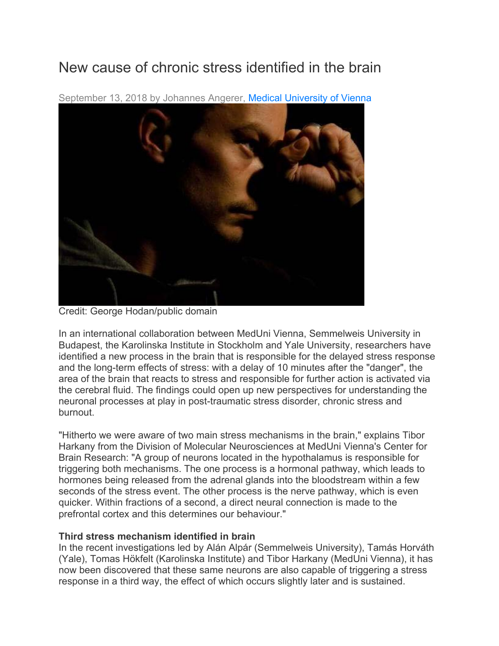## New cause of chronic stress identified in the brain



September 13, 2018 by Johannes Angerer, Medical University of Vienna

Credit: George Hodan/public domain

In an international collaboration between MedUni Vienna, Semmelweis University in Budapest, the Karolinska Institute in Stockholm and Yale University, researchers have identified a new process in the brain that is responsible for the delayed stress response and the long-term effects of stress: with a delay of 10 minutes after the "danger", the area of the brain that reacts to stress and responsible for further action is activated via the cerebral fluid. The findings could open up new perspectives for understanding the neuronal processes at play in post-traumatic stress disorder, chronic stress and burnout.

"Hitherto we were aware of two main stress mechanisms in the brain," explains Tibor Harkany from the Division of Molecular Neurosciences at MedUni Vienna's Center for Brain Research: "A group of neurons located in the hypothalamus is responsible for triggering both mechanisms. The one process is a hormonal pathway, which leads to hormones being released from the adrenal glands into the bloodstream within a few seconds of the stress event. The other process is the nerve pathway, which is even quicker. Within fractions of a second, a direct neural connection is made to the prefrontal cortex and this determines our behaviour."

## **Third stress mechanism identified in brain**

In the recent investigations led by Alán Alpár (Semmelweis University), Tamás Horváth (Yale), Tomas Hökfelt (Karolinska Institute) and Tibor Harkany (MedUni Vienna), it has now been discovered that these same neurons are also capable of triggering a stress response in a third way, the effect of which occurs slightly later and is sustained.